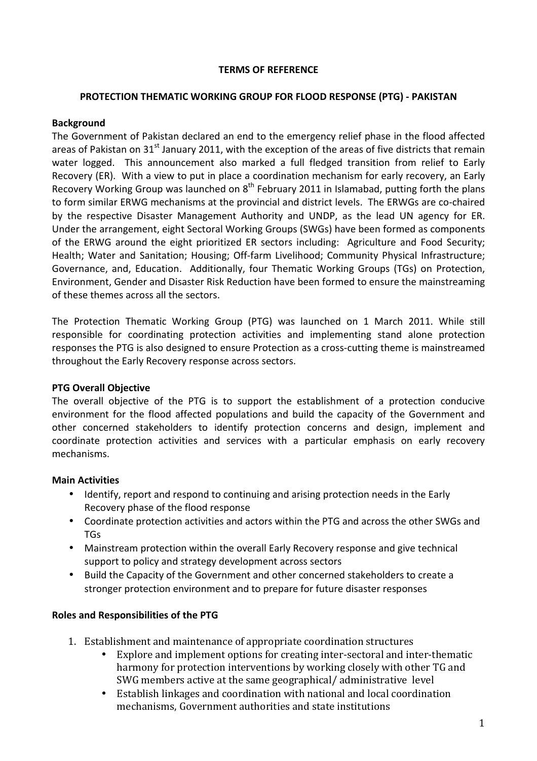### TERMS OF REFERENCE

### PROTECTION THEMATIC WORKING GROUP FOR FLOOD RESPONSE (PTG) - PAKISTAN

### Background

The Government of Pakistan declared an end to the emergency relief phase in the flood affected areas of Pakistan on  $31<sup>st</sup>$  January 2011, with the exception of the areas of five districts that remain water logged. This announcement also marked a full fledged transition from relief to Early Recovery (ER). With a view to put in place a coordination mechanism for early recovery, an Early Recovery Working Group was launched on  $8<sup>th</sup>$  February 2011 in Islamabad, putting forth the plans to form similar ERWG mechanisms at the provincial and district levels. The ERWGs are co-chaired by the respective Disaster Management Authority and UNDP, as the lead UN agency for ER. Under the arrangement, eight Sectoral Working Groups (SWGs) have been formed as components of the ERWG around the eight prioritized ER sectors including: Agriculture and Food Security; Health; Water and Sanitation; Housing; Off-farm Livelihood; Community Physical Infrastructure; Governance, and, Education. Additionally, four Thematic Working Groups (TGs) on Protection, Environment, Gender and Disaster Risk Reduction have been formed to ensure the mainstreaming of these themes across all the sectors.

The Protection Thematic Working Group (PTG) was launched on 1 March 2011. While still responsible for coordinating protection activities and implementing stand alone protection responses the PTG is also designed to ensure Protection as a cross-cutting theme is mainstreamed throughout the Early Recovery response across sectors.

## PTG Overall Objective

The overall objective of the PTG is to support the establishment of a protection conducive environment for the flood affected populations and build the capacity of the Government and other concerned stakeholders to identify protection concerns and design, implement and coordinate protection activities and services with a particular emphasis on early recovery mechanisms.

## Main Activities

- Identify, report and respond to continuing and arising protection needs in the Early Recovery phase of the flood response
- Coordinate protection activities and actors within the PTG and across the other SWGs and TGs
- Mainstream protection within the overall Early Recovery response and give technical support to policy and strategy development across sectors
- Build the Capacity of the Government and other concerned stakeholders to create a stronger protection environment and to prepare for future disaster responses

## Roles and Responsibilities of the PTG

- 1. Establishment and maintenance of appropriate coordination structures
	- Explore and implement options for creating inter-sectoral and inter-thematic harmony for protection interventions by working closely with other TG and SWG members active at the same geographical/ administrative level
	- Establish linkages and coordination with national and local coordination mechanisms, Government authorities and state institutions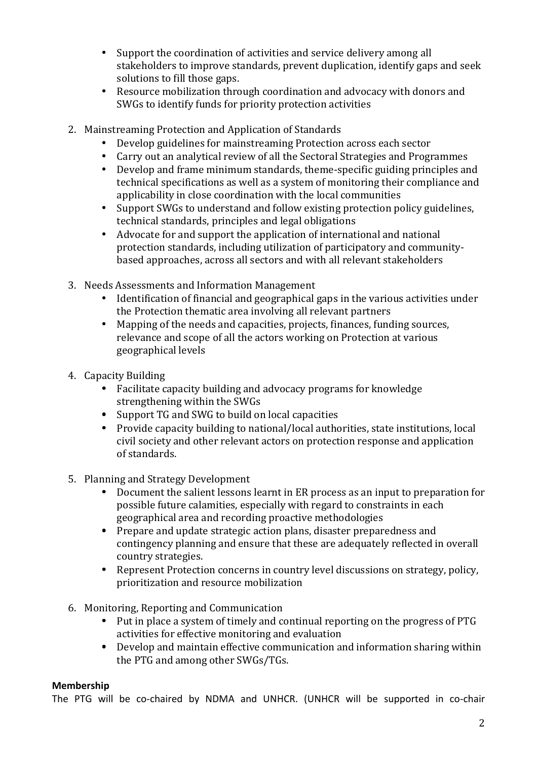- Support the coordination of activities and service delivery among all stakeholders to improve standards, prevent duplication, identify gaps and seek solutions to fill those gaps.
- Resource mobilization through coordination and advocacy with donors and SWGs to identify funds for priority protection activities
- 2. Mainstreaming Protection and Application of Standards
	- Develop guidelines for mainstreaming Protection across each sector
	- Carry out an analytical review of all the Sectoral Strategies and Programmes
	- Develop and frame minimum standards, theme-specific guiding principles and technical specifications as well as a system of monitoring their compliance and applicability in close coordination with the local communities
	- Support SWGs to understand and follow existing protection policy guidelines, technical standards, principles and legal obligations
	- Advocate for and support the application of international and national protection standards, including utilization of participatory and communitybased approaches, across all sectors and with all relevant stakeholders
- 3. Needs Assessments and Information Management
	- Identification of financial and geographical gaps in the various activities under the Protection thematic area involving all relevant partners
	- Mapping of the needs and capacities, projects, finances, funding sources, relevance and scope of all the actors working on Protection at various geographical levels
- 4. Capacity Building
	- Facilitate capacity building and advocacy programs for knowledge strengthening within the SWGs
	- Support TG and SWG to build on local capacities
	- Provide capacity building to national/local authorities, state institutions, local civil society and other relevant actors on protection response and application of standards.
- 5. Planning and Strategy Development
	- Document the salient lessons learnt in ER process as an input to preparation for possible future calamities, especially with regard to constraints in each geographical area and recording proactive methodologies
	- Prepare and update strategic action plans, disaster preparedness and contingency planning and ensure that these are adequately reflected in overall country strategies.
	- Represent Protection concerns in country level discussions on strategy, policy, prioritization and resource mobilization
- 6. Monitoring, Reporting and Communication
	- Put in place a system of timely and continual reporting on the progress of PTG activities for effective monitoring and evaluation
	- Develop and maintain effective communication and information sharing within the PTG and among other SWGs/TGs.

# Membership

The PTG will be co-chaired by NDMA and UNHCR. (UNHCR will be supported in co-chair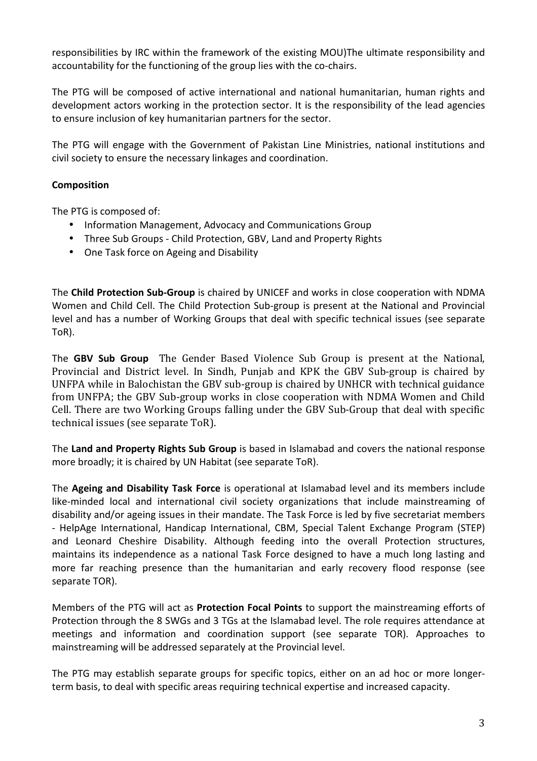responsibilities by IRC within the framework of the existing MOU)The ultimate responsibility and accountability for the functioning of the group lies with the co-chairs.

The PTG will be composed of active international and national humanitarian, human rights and development actors working in the protection sector. It is the responsibility of the lead agencies to ensure inclusion of key humanitarian partners for the sector.

The PTG will engage with the Government of Pakistan Line Ministries, national institutions and civil society to ensure the necessary linkages and coordination.

## Composition

The PTG is composed of:

- Information Management, Advocacy and Communications Group
- Three Sub Groups Child Protection, GBV, Land and Property Rights
- One Task force on Ageing and Disability

The Child Protection Sub-Group is chaired by UNICEF and works in close cooperation with NDMA Women and Child Cell. The Child Protection Sub-group is present at the National and Provincial level and has a number of Working Groups that deal with specific technical issues (see separate ToR).

The **GBV Sub Group** The Gender Based Violence Sub Group is present at the National, Provincial and District level. In Sindh, Punjab and KPK the GBV Sub-group is chaired by UNFPA while in Balochistan the GBV sub-group is chaired by UNHCR with technical guidance from UNFPA; the GBV Sub-group works in close cooperation with NDMA Women and Child Cell. There are two Working Groups falling under the GBV Sub-Group that deal with specific technical issues (see separate ToR).

The Land and Property Rights Sub Group is based in Islamabad and covers the national response more broadly; it is chaired by UN Habitat (see separate ToR).

The Ageing and Disability Task Force is operational at Islamabad level and its members include like-minded local and international civil society organizations that include mainstreaming of disability and/or ageing issues in their mandate. The Task Force is led by five secretariat members - HelpAge International, Handicap International, CBM, Special Talent Exchange Program (STEP) and Leonard Cheshire Disability. Although feeding into the overall Protection structures, maintains its independence as a national Task Force designed to have a much long lasting and more far reaching presence than the humanitarian and early recovery flood response (see separate TOR).

Members of the PTG will act as Protection Focal Points to support the mainstreaming efforts of Protection through the 8 SWGs and 3 TGs at the Islamabad level. The role requires attendance at meetings and information and coordination support (see separate TOR). Approaches to mainstreaming will be addressed separately at the Provincial level.

The PTG may establish separate groups for specific topics, either on an ad hoc or more longerterm basis, to deal with specific areas requiring technical expertise and increased capacity.